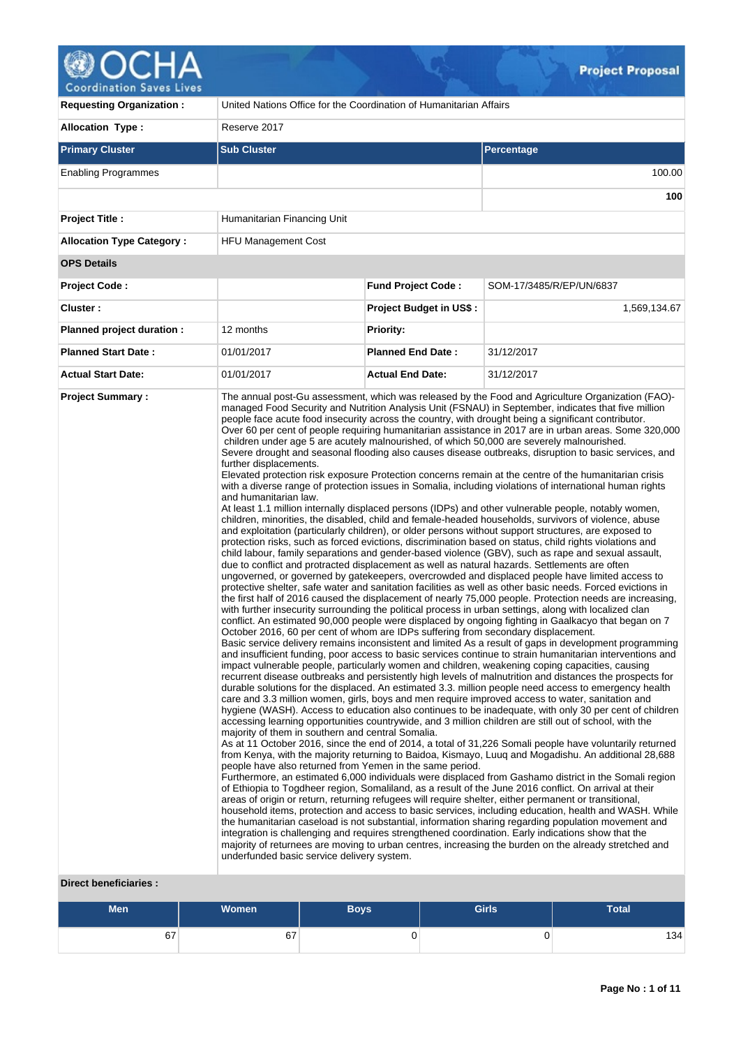# Coordination Saves Lives

| <b>Requesting Organization:</b>                   | United Nations Office for the Coordination of Humanitarian Affairs                                                                                                                                                                                                                                                                                                                                                                                                                                                                                                                                                                                                                                                                                                                                                                                                                                                                                                                                                                                                                                                                                                                                                                                                                                                                                                                                                                                                                                                                                                                                                                                                                                                                                                                                                                                                                                                                                                                                                                                                                                                                                                                                                                                                                                                                                                                                                                                                                                                                                                                                                                                                                                                                                                                                                                                                                                                                                                                                                                                                                                                                                                                                                                                                                                                                                                                                                                                                                                                                                                                                                                                                                                                                                                                                                                                                                                                                                                                                                                                                                                                                                          |                                |                          |  |  |  |
|---------------------------------------------------|-------------------------------------------------------------------------------------------------------------------------------------------------------------------------------------------------------------------------------------------------------------------------------------------------------------------------------------------------------------------------------------------------------------------------------------------------------------------------------------------------------------------------------------------------------------------------------------------------------------------------------------------------------------------------------------------------------------------------------------------------------------------------------------------------------------------------------------------------------------------------------------------------------------------------------------------------------------------------------------------------------------------------------------------------------------------------------------------------------------------------------------------------------------------------------------------------------------------------------------------------------------------------------------------------------------------------------------------------------------------------------------------------------------------------------------------------------------------------------------------------------------------------------------------------------------------------------------------------------------------------------------------------------------------------------------------------------------------------------------------------------------------------------------------------------------------------------------------------------------------------------------------------------------------------------------------------------------------------------------------------------------------------------------------------------------------------------------------------------------------------------------------------------------------------------------------------------------------------------------------------------------------------------------------------------------------------------------------------------------------------------------------------------------------------------------------------------------------------------------------------------------------------------------------------------------------------------------------------------------------------------------------------------------------------------------------------------------------------------------------------------------------------------------------------------------------------------------------------------------------------------------------------------------------------------------------------------------------------------------------------------------------------------------------------------------------------------------------------------------------------------------------------------------------------------------------------------------------------------------------------------------------------------------------------------------------------------------------------------------------------------------------------------------------------------------------------------------------------------------------------------------------------------------------------------------------------------------------------------------------------------------------------------------------------------------------------------------------------------------------------------------------------------------------------------------------------------------------------------------------------------------------------------------------------------------------------------------------------------------------------------------------------------------------------------------------------------------------------------------------------------------------------------------|--------------------------------|--------------------------|--|--|--|
| <b>Allocation Type:</b>                           | Reserve 2017                                                                                                                                                                                                                                                                                                                                                                                                                                                                                                                                                                                                                                                                                                                                                                                                                                                                                                                                                                                                                                                                                                                                                                                                                                                                                                                                                                                                                                                                                                                                                                                                                                                                                                                                                                                                                                                                                                                                                                                                                                                                                                                                                                                                                                                                                                                                                                                                                                                                                                                                                                                                                                                                                                                                                                                                                                                                                                                                                                                                                                                                                                                                                                                                                                                                                                                                                                                                                                                                                                                                                                                                                                                                                                                                                                                                                                                                                                                                                                                                                                                                                                                                                |                                |                          |  |  |  |
| <b>Primary Cluster</b>                            | <b>Sub Cluster</b>                                                                                                                                                                                                                                                                                                                                                                                                                                                                                                                                                                                                                                                                                                                                                                                                                                                                                                                                                                                                                                                                                                                                                                                                                                                                                                                                                                                                                                                                                                                                                                                                                                                                                                                                                                                                                                                                                                                                                                                                                                                                                                                                                                                                                                                                                                                                                                                                                                                                                                                                                                                                                                                                                                                                                                                                                                                                                                                                                                                                                                                                                                                                                                                                                                                                                                                                                                                                                                                                                                                                                                                                                                                                                                                                                                                                                                                                                                                                                                                                                                                                                                                                          |                                | <b>Percentage</b>        |  |  |  |
| <b>Enabling Programmes</b>                        |                                                                                                                                                                                                                                                                                                                                                                                                                                                                                                                                                                                                                                                                                                                                                                                                                                                                                                                                                                                                                                                                                                                                                                                                                                                                                                                                                                                                                                                                                                                                                                                                                                                                                                                                                                                                                                                                                                                                                                                                                                                                                                                                                                                                                                                                                                                                                                                                                                                                                                                                                                                                                                                                                                                                                                                                                                                                                                                                                                                                                                                                                                                                                                                                                                                                                                                                                                                                                                                                                                                                                                                                                                                                                                                                                                                                                                                                                                                                                                                                                                                                                                                                                             |                                | 100.00                   |  |  |  |
|                                                   |                                                                                                                                                                                                                                                                                                                                                                                                                                                                                                                                                                                                                                                                                                                                                                                                                                                                                                                                                                                                                                                                                                                                                                                                                                                                                                                                                                                                                                                                                                                                                                                                                                                                                                                                                                                                                                                                                                                                                                                                                                                                                                                                                                                                                                                                                                                                                                                                                                                                                                                                                                                                                                                                                                                                                                                                                                                                                                                                                                                                                                                                                                                                                                                                                                                                                                                                                                                                                                                                                                                                                                                                                                                                                                                                                                                                                                                                                                                                                                                                                                                                                                                                                             |                                | 100                      |  |  |  |
| <b>Project Title:</b>                             | Humanitarian Financing Unit                                                                                                                                                                                                                                                                                                                                                                                                                                                                                                                                                                                                                                                                                                                                                                                                                                                                                                                                                                                                                                                                                                                                                                                                                                                                                                                                                                                                                                                                                                                                                                                                                                                                                                                                                                                                                                                                                                                                                                                                                                                                                                                                                                                                                                                                                                                                                                                                                                                                                                                                                                                                                                                                                                                                                                                                                                                                                                                                                                                                                                                                                                                                                                                                                                                                                                                                                                                                                                                                                                                                                                                                                                                                                                                                                                                                                                                                                                                                                                                                                                                                                                                                 |                                |                          |  |  |  |
| <b>Allocation Type Category:</b>                  | <b>HFU Management Cost</b>                                                                                                                                                                                                                                                                                                                                                                                                                                                                                                                                                                                                                                                                                                                                                                                                                                                                                                                                                                                                                                                                                                                                                                                                                                                                                                                                                                                                                                                                                                                                                                                                                                                                                                                                                                                                                                                                                                                                                                                                                                                                                                                                                                                                                                                                                                                                                                                                                                                                                                                                                                                                                                                                                                                                                                                                                                                                                                                                                                                                                                                                                                                                                                                                                                                                                                                                                                                                                                                                                                                                                                                                                                                                                                                                                                                                                                                                                                                                                                                                                                                                                                                                  |                                |                          |  |  |  |
| <b>OPS Details</b>                                |                                                                                                                                                                                                                                                                                                                                                                                                                                                                                                                                                                                                                                                                                                                                                                                                                                                                                                                                                                                                                                                                                                                                                                                                                                                                                                                                                                                                                                                                                                                                                                                                                                                                                                                                                                                                                                                                                                                                                                                                                                                                                                                                                                                                                                                                                                                                                                                                                                                                                                                                                                                                                                                                                                                                                                                                                                                                                                                                                                                                                                                                                                                                                                                                                                                                                                                                                                                                                                                                                                                                                                                                                                                                                                                                                                                                                                                                                                                                                                                                                                                                                                                                                             |                                |                          |  |  |  |
| <b>Project Code:</b>                              |                                                                                                                                                                                                                                                                                                                                                                                                                                                                                                                                                                                                                                                                                                                                                                                                                                                                                                                                                                                                                                                                                                                                                                                                                                                                                                                                                                                                                                                                                                                                                                                                                                                                                                                                                                                                                                                                                                                                                                                                                                                                                                                                                                                                                                                                                                                                                                                                                                                                                                                                                                                                                                                                                                                                                                                                                                                                                                                                                                                                                                                                                                                                                                                                                                                                                                                                                                                                                                                                                                                                                                                                                                                                                                                                                                                                                                                                                                                                                                                                                                                                                                                                                             | <b>Fund Project Code:</b>      | SOM-17/3485/R/EP/UN/6837 |  |  |  |
| Cluster:                                          |                                                                                                                                                                                                                                                                                                                                                                                                                                                                                                                                                                                                                                                                                                                                                                                                                                                                                                                                                                                                                                                                                                                                                                                                                                                                                                                                                                                                                                                                                                                                                                                                                                                                                                                                                                                                                                                                                                                                                                                                                                                                                                                                                                                                                                                                                                                                                                                                                                                                                                                                                                                                                                                                                                                                                                                                                                                                                                                                                                                                                                                                                                                                                                                                                                                                                                                                                                                                                                                                                                                                                                                                                                                                                                                                                                                                                                                                                                                                                                                                                                                                                                                                                             | <b>Project Budget in US\$:</b> | 1,569,134.67             |  |  |  |
| Planned project duration :                        | 12 months                                                                                                                                                                                                                                                                                                                                                                                                                                                                                                                                                                                                                                                                                                                                                                                                                                                                                                                                                                                                                                                                                                                                                                                                                                                                                                                                                                                                                                                                                                                                                                                                                                                                                                                                                                                                                                                                                                                                                                                                                                                                                                                                                                                                                                                                                                                                                                                                                                                                                                                                                                                                                                                                                                                                                                                                                                                                                                                                                                                                                                                                                                                                                                                                                                                                                                                                                                                                                                                                                                                                                                                                                                                                                                                                                                                                                                                                                                                                                                                                                                                                                                                                                   | <b>Priority:</b>               |                          |  |  |  |
| <b>Planned Start Date:</b>                        | 01/01/2017                                                                                                                                                                                                                                                                                                                                                                                                                                                                                                                                                                                                                                                                                                                                                                                                                                                                                                                                                                                                                                                                                                                                                                                                                                                                                                                                                                                                                                                                                                                                                                                                                                                                                                                                                                                                                                                                                                                                                                                                                                                                                                                                                                                                                                                                                                                                                                                                                                                                                                                                                                                                                                                                                                                                                                                                                                                                                                                                                                                                                                                                                                                                                                                                                                                                                                                                                                                                                                                                                                                                                                                                                                                                                                                                                                                                                                                                                                                                                                                                                                                                                                                                                  | <b>Planned End Date:</b>       | 31/12/2017               |  |  |  |
| <b>Actual Start Date:</b>                         | 01/01/2017                                                                                                                                                                                                                                                                                                                                                                                                                                                                                                                                                                                                                                                                                                                                                                                                                                                                                                                                                                                                                                                                                                                                                                                                                                                                                                                                                                                                                                                                                                                                                                                                                                                                                                                                                                                                                                                                                                                                                                                                                                                                                                                                                                                                                                                                                                                                                                                                                                                                                                                                                                                                                                                                                                                                                                                                                                                                                                                                                                                                                                                                                                                                                                                                                                                                                                                                                                                                                                                                                                                                                                                                                                                                                                                                                                                                                                                                                                                                                                                                                                                                                                                                                  | <b>Actual End Date:</b>        | 31/12/2017               |  |  |  |
| <b>Project Summary:</b><br>Direct beneficiaries : | The annual post-Gu assessment, which was released by the Food and Agriculture Organization (FAO)-<br>managed Food Security and Nutrition Analysis Unit (FSNAU) in September, indicates that five million<br>people face acute food insecurity across the country, with drought being a significant contributor.<br>Over 60 per cent of people requiring humanitarian assistance in 2017 are in urban areas. Some 320,000<br>children under age 5 are acutely malnourished, of which 50,000 are severely malnourished.<br>Severe drought and seasonal flooding also causes disease outbreaks, disruption to basic services, and<br>further displacements.<br>Elevated protection risk exposure Protection concerns remain at the centre of the humanitarian crisis<br>with a diverse range of protection issues in Somalia, including violations of international human rights<br>and humanitarian law.<br>At least 1.1 million internally displaced persons (IDPs) and other vulnerable people, notably women,<br>children, minorities, the disabled, child and female-headed households, survivors of violence, abuse<br>and exploitation (particularly children), or older persons without support structures, are exposed to<br>protection risks, such as forced evictions, discrimination based on status, child rights violations and<br>child labour, family separations and gender-based violence (GBV), such as rape and sexual assault,<br>due to conflict and protracted displacement as well as natural hazards. Settlements are often<br>ungoverned, or governed by gatekeepers, overcrowded and displaced people have limited access to<br>protective shelter, safe water and sanitation facilities as well as other basic needs. Forced evictions in<br>the first half of 2016 caused the displacement of nearly 75,000 people. Protection needs are increasing,<br>with further insecurity surrounding the political process in urban settings, along with localized clan<br>conflict. An estimated 90,000 people were displaced by ongoing fighting in Gaalkacyo that began on 7<br>October 2016, 60 per cent of whom are IDPs suffering from secondary displacement.<br>Basic service delivery remains inconsistent and limited As a result of gaps in development programming<br>and insufficient funding, poor access to basic services continue to strain humanitarian interventions and<br>impact vulnerable people, particularly women and children, weakening coping capacities, causing<br>recurrent disease outbreaks and persistently high levels of malnutrition and distances the prospects for<br>durable solutions for the displaced. An estimated 3.3. million people need access to emergency health<br>care and 3.3 million women, girls, boys and men require improved access to water, sanitation and<br>hygiene (WASH). Access to education also continues to be inadeguate, with only 30 per cent of children<br>accessing learning opportunities countrywide, and 3 million children are still out of school, with the<br>majority of them in southern and central Somalia.<br>As at 11 October 2016, since the end of 2014, a total of 31,226 Somali people have voluntarily returned<br>from Kenya, with the majority returning to Baidoa, Kismayo, Luuq and Mogadishu. An additional 28,688<br>people have also returned from Yemen in the same period.<br>Furthermore, an estimated 6,000 individuals were displaced from Gashamo district in the Somali region<br>of Ethiopia to Togdheer region, Somaliland, as a result of the June 2016 conflict. On arrival at their<br>areas of origin or return, returning refugees will require shelter, either permanent or transitional,<br>household items, protection and access to basic services, including education, health and WASH. While<br>the humanitarian caseload is not substantial, information sharing regarding population movement and<br>integration is challenging and requires strengthened coordination. Early indications show that the<br>majority of returnees are moving to urban centres, increasing the burden on the already stretched and |                                |                          |  |  |  |

#### **Direct beneficiaries :**

| <b>Men</b>   | <b>Women</b> | Boys' | <b>Girls</b> | <b>Total</b> |  |
|--------------|--------------|-------|--------------|--------------|--|
| $\sim$<br>b/ | $\sim$<br>υ. | ν     | υ            | 134          |  |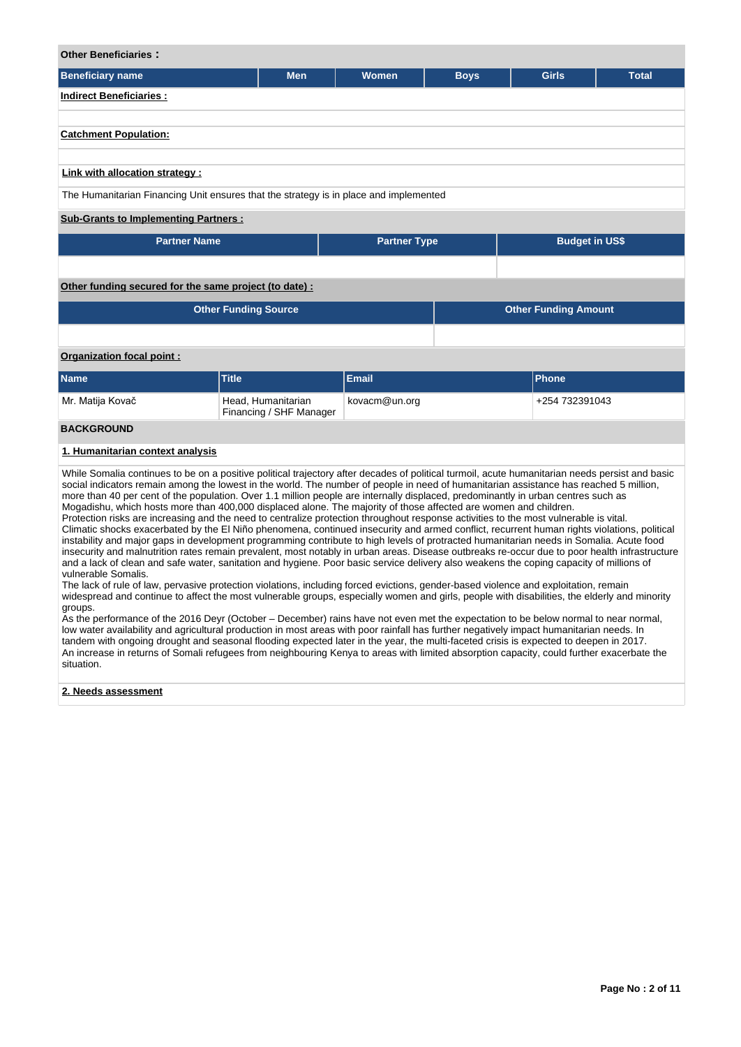### **Other Beneficiaries :**

| Beneficiary name                                                                      | <b>Men</b> | <b>Women</b> | <b>Boys</b> | <b>Girls</b> | <b>Total</b> |  |  |  |  |
|---------------------------------------------------------------------------------------|------------|--------------|-------------|--------------|--------------|--|--|--|--|
| <b>Indirect Beneficiaries:</b>                                                        |            |              |             |              |              |  |  |  |  |
|                                                                                       |            |              |             |              |              |  |  |  |  |
| <b>Catchment Population:</b>                                                          |            |              |             |              |              |  |  |  |  |
| Link with allocation strategy :                                                       |            |              |             |              |              |  |  |  |  |
| The Humanitarian Financing Unit ensures that the strategy is in place and implemented |            |              |             |              |              |  |  |  |  |
| <b>Sub-Grants to Implementing Partners:</b>                                           |            |              |             |              |              |  |  |  |  |

| <b>Partner Name</b> | <b>Partner Type</b> | <b>Budget in US\$</b> |
|---------------------|---------------------|-----------------------|
|                     |                     |                       |

# **Other funding secured for the same project (to date) :**

| <b>Other Funding Source</b> | <b>Other Funding Amount</b> |               |  |                |  |  |  |  |
|-----------------------------|-----------------------------|---------------|--|----------------|--|--|--|--|
|                             |                             |               |  |                |  |  |  |  |
| Organization focal point:   |                             |               |  |                |  |  |  |  |
| <b>Name</b>                 | <b>Title</b>                | <b>Email</b>  |  | <b>Phone</b>   |  |  |  |  |
| Mr. Matija Kovač            | Head, Humanitarian          | kovacm@un.org |  | +254 732391043 |  |  |  |  |

Financing / SHF Manager

# **BACKGROUND**

# **1. Humanitarian context analysis**

While Somalia continues to be on a positive political trajectory after decades of political turmoil, acute humanitarian needs persist and basic social indicators remain among the lowest in the world. The number of people in need of humanitarian assistance has reached 5 million, more than 40 per cent of the population. Over 1.1 million people are internally displaced, predominantly in urban centres such as Mogadishu, which hosts more than 400,000 displaced alone. The majority of those affected are women and children. Protection risks are increasing and the need to centralize protection throughout response activities to the most vulnerable is vital. Climatic shocks exacerbated by the El Niño phenomena, continued insecurity and armed conflict, recurrent human rights violations, political instability and major gaps in development programming contribute to high levels of protracted humanitarian needs in Somalia. Acute food

insecurity and malnutrition rates remain prevalent, most notably in urban areas. Disease outbreaks re-occur due to poor health infrastructure and a lack of clean and safe water, sanitation and hygiene. Poor basic service delivery also weakens the coping capacity of millions of vulnerable Somalis.

The lack of rule of law, pervasive protection violations, including forced evictions, gender-based violence and exploitation, remain widespread and continue to affect the most vulnerable groups, especially women and girls, people with disabilities, the elderly and minority groups.

As the performance of the 2016 Deyr (October – December) rains have not even met the expectation to be below normal to near normal, low water availability and agricultural production in most areas with poor rainfall has further negatively impact humanitarian needs. In tandem with ongoing drought and seasonal flooding expected later in the year, the multi-faceted crisis is expected to deepen in 2017. An increase in returns of Somali refugees from neighbouring Kenya to areas with limited absorption capacity, could further exacerbate the situation.

#### **2. Needs assessment**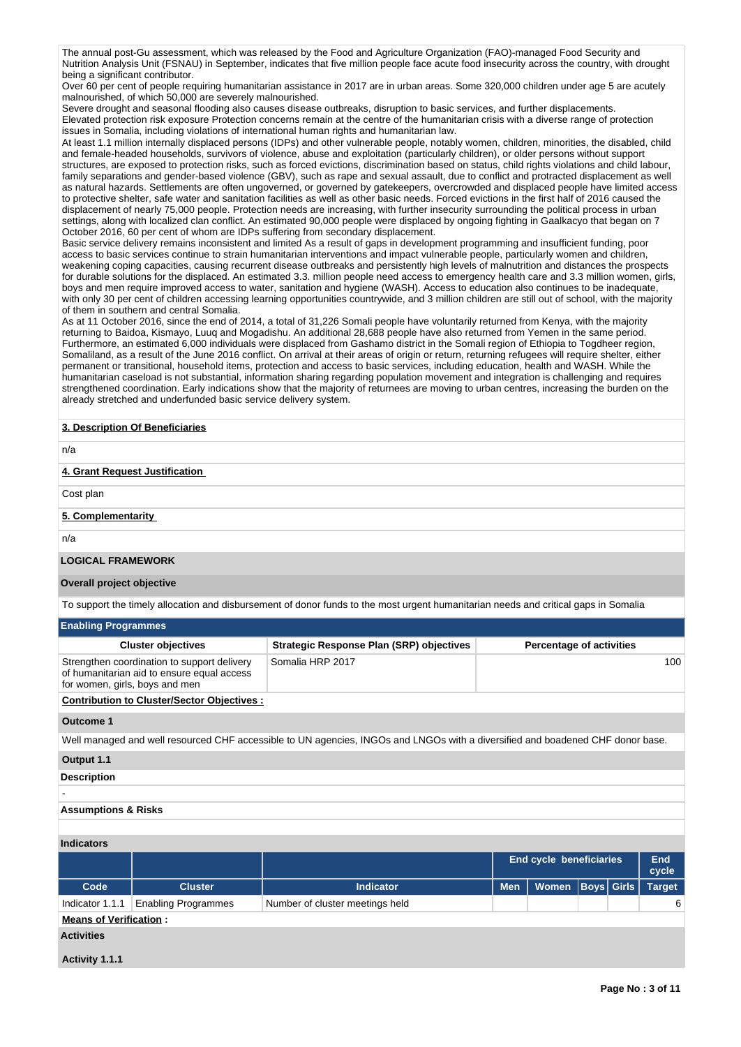The annual post-Gu assessment, which was released by the Food and Agriculture Organization (FAO)-managed Food Security and Nutrition Analysis Unit (FSNAU) in September, indicates that five million people face acute food insecurity across the country, with drought being a significant contributor.

Over 60 per cent of people requiring humanitarian assistance in 2017 are in urban areas. Some 320,000 children under age 5 are acutely malnourished, of which 50,000 are severely malnourished.

Severe drought and seasonal flooding also causes disease outbreaks, disruption to basic services, and further displacements. Elevated protection risk exposure Protection concerns remain at the centre of the humanitarian crisis with a diverse range of protection issues in Somalia, including violations of international human rights and humanitarian law.

At least 1.1 million internally displaced persons (IDPs) and other vulnerable people, notably women, children, minorities, the disabled, child and female-headed households, survivors of violence, abuse and exploitation (particularly children), or older persons without support structures, are exposed to protection risks, such as forced evictions, discrimination based on status, child rights violations and child labour, family separations and gender-based violence (GBV), such as rape and sexual assault, due to conflict and protracted displacement as well as natural hazards. Settlements are often ungoverned, or governed by gatekeepers, overcrowded and displaced people have limited access to protective shelter, safe water and sanitation facilities as well as other basic needs. Forced evictions in the first half of 2016 caused the displacement of nearly 75,000 people. Protection needs are increasing, with further insecurity surrounding the political process in urban settings, along with localized clan conflict. An estimated 90,000 people were displaced by ongoing fighting in Gaalkacyo that began on 7 October 2016, 60 per cent of whom are IDPs suffering from secondary displacement.

Basic service delivery remains inconsistent and limited As a result of gaps in development programming and insufficient funding, poor access to basic services continue to strain humanitarian interventions and impact vulnerable people, particularly women and children, weakening coping capacities, causing recurrent disease outbreaks and persistently high levels of malnutrition and distances the prospects for durable solutions for the displaced. An estimated 3.3. million people need access to emergency health care and 3.3 million women, girls, boys and men require improved access to water, sanitation and hygiene (WASH). Access to education also continues to be inadequate, with only 30 per cent of children accessing learning opportunities countrywide, and 3 million children are still out of school, with the majority of them in southern and central Somalia.

As at 11 October 2016, since the end of 2014, a total of 31,226 Somali people have voluntarily returned from Kenya, with the majority returning to Baidoa, Kismayo, Luuq and Mogadishu. An additional 28,688 people have also returned from Yemen in the same period. Furthermore, an estimated 6,000 individuals were displaced from Gashamo district in the Somali region of Ethiopia to Togdheer region, Somaliland, as a result of the June 2016 conflict. On arrival at their areas of origin or return, returning refugees will require shelter, either permanent or transitional, household items, protection and access to basic services, including education, health and WASH. While the humanitarian caseload is not substantial, information sharing regarding population movement and integration is challenging and requires strengthened coordination. Early indications show that the majority of returnees are moving to urban centres, increasing the burden on the already stretched and underfunded basic service delivery system.

#### **3. Description Of Beneficiaries**

n/a

#### **4. Grant Request Justification**

Cost plan

# **5. Complementarity**

n/a

# **LOGICAL FRAMEWORK**

# **Overall project objective**

To support the timely allocation and disbursement of donor funds to the most urgent humanitarian needs and critical gaps in Somalia

| <b>Enabling Programmes</b>                                                                                                  |                                                 |                                 |  |  |  |  |  |  |
|-----------------------------------------------------------------------------------------------------------------------------|-------------------------------------------------|---------------------------------|--|--|--|--|--|--|
| <b>Cluster objectives</b>                                                                                                   | <b>Strategic Response Plan (SRP) objectives</b> | <b>Percentage of activities</b> |  |  |  |  |  |  |
| Strengthen coordination to support delivery<br>of humanitarian aid to ensure equal access<br>for women, girls, boys and men | Somalia HRP 2017                                | 100                             |  |  |  |  |  |  |
| <b>Contribution to Cluster/Sector Objectives:</b>                                                                           |                                                 |                                 |  |  |  |  |  |  |

#### **Outcome 1**

Well managed and well resourced CHF accessible to UN agencies, INGOs and LNGOs with a diversified and boadened CHF donor base.

#### **Output 1.1**

#### **Description**

# -

# **Assumptions & Risks**

| ------------                  |                            |                                 |                                |                      |  |                     |               |
|-------------------------------|----------------------------|---------------------------------|--------------------------------|----------------------|--|---------------------|---------------|
|                               |                            |                                 | <b>End cycle beneficiaries</b> |                      |  | <b>End</b><br>cycle |               |
| Code                          | <b>Cluster</b>             | <b>Indicator</b>                | <b>Men</b>                     | Women   Boys   Girls |  |                     | <b>Target</b> |
| Indicator 1.1.1               | <b>Enabling Programmes</b> | Number of cluster meetings held |                                |                      |  |                     | 6             |
| <b>Means of Verification:</b> |                            |                                 |                                |                      |  |                     |               |
| <b>Activities</b>             |                            |                                 |                                |                      |  |                     |               |
| .                             |                            |                                 |                                |                      |  |                     |               |

#### **Activity 1.1.1**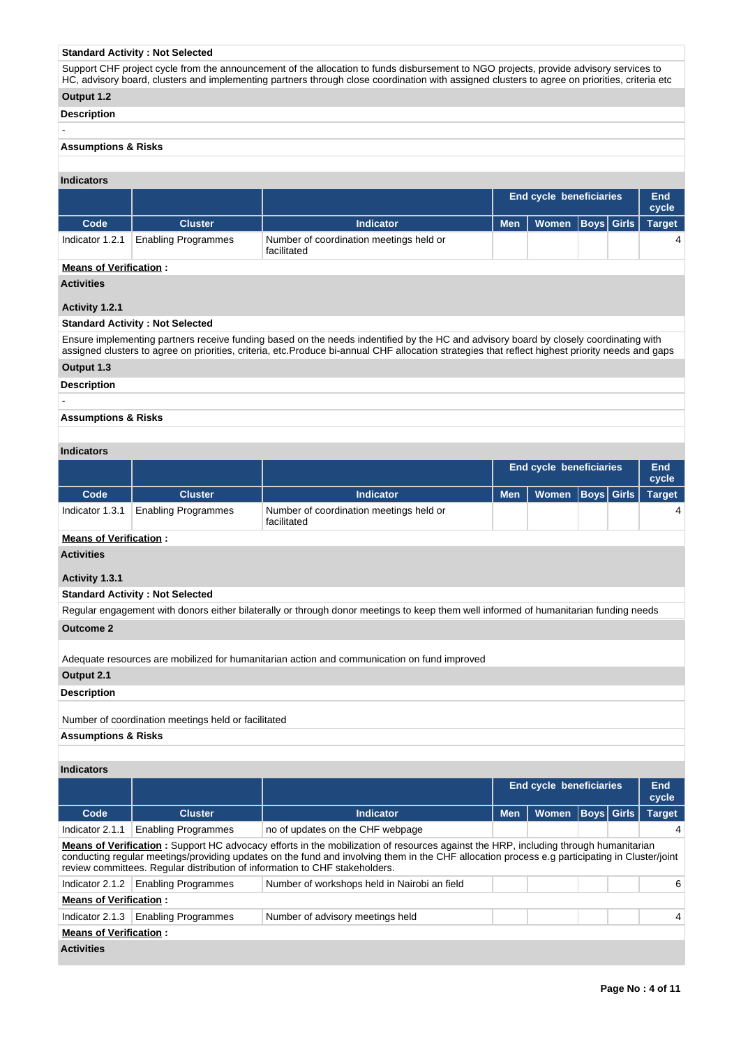#### **Standard Activity : Not Selected**

Support CHF project cycle from the announcement of the allocation to funds disbursement to NGO projects, provide advisory services to HC, advisory board, clusters and implementing partners through close coordination with assigned clusters to agree on priorities, criteria etc

# **Output 1.2**

**Description**

-

#### **Assumptions & Risks**

#### **Indicators**

|                 |                            |                                                        | <b>End cycle beneficiaries</b> |                         |  | End<br>cycle |  |
|-----------------|----------------------------|--------------------------------------------------------|--------------------------------|-------------------------|--|--------------|--|
| Code            | <b>Cluster</b>             | <b>Indicator</b>                                       | <b>Men</b>                     | Women Boys Girls Target |  |              |  |
| Indicator 1.2.1 | <b>Enabling Programmes</b> | Number of coordination meetings held or<br>facilitated |                                |                         |  |              |  |
|                 |                            |                                                        |                                |                         |  |              |  |

# **Means of Verification :**

**Activities**

# **Activity 1.2.1**

### **Standard Activity : Not Selected**

Ensure implementing partners receive funding based on the needs indentified by the HC and advisory board by closely coordinating with assigned clusters to agree on priorities, criteria, etc.Produce bi-annual CHF allocation strategies that reflect highest priority needs and gaps

# **Output 1.3**

**Description**

-

# **Assumptions & Risks**

#### **Indicators**

|                 |                            |                                                        | <b>End cycle beneficiaries</b> |                      |  | End<br>cycle |               |
|-----------------|----------------------------|--------------------------------------------------------|--------------------------------|----------------------|--|--------------|---------------|
| Code            | <b>Cluster</b>             | <b>Indicator</b>                                       | <b>Men</b>                     | Women   Boys   Girls |  |              | <b>Target</b> |
| Indicator 1.3.1 | <b>Enabling Programmes</b> | Number of coordination meetings held or<br>facilitated |                                |                      |  |              |               |

# **Means of Verification :**

**Activities**

# **Activity 1.3.1**

#### **Standard Activity : Not Selected**

Regular engagement with donors either bilaterally or through donor meetings to keep them well informed of humanitarian funding needs

# **Outcome 2**

Adequate resources are mobilized for humanitarian action and communication on fund improved

# **Output 2.1**

**Description**

#### Number of coordination meetings held or facilitated

**Assumptions & Risks**

# **Indicators**

|                               |                                                                                                                                                                                                                                                                                                                                                                     |                                              | <b>End cycle beneficiaries</b> |              | End<br>cycle      |  |               |  |  |
|-------------------------------|---------------------------------------------------------------------------------------------------------------------------------------------------------------------------------------------------------------------------------------------------------------------------------------------------------------------------------------------------------------------|----------------------------------------------|--------------------------------|--------------|-------------------|--|---------------|--|--|
| Code                          | <b>Cluster</b>                                                                                                                                                                                                                                                                                                                                                      | <b>Indicator</b>                             | <b>Men</b>                     | <b>Women</b> | <b>Boys Girls</b> |  | <b>Target</b> |  |  |
| Indicator 2.1.1               | <b>Enabling Programmes</b>                                                                                                                                                                                                                                                                                                                                          | no of updates on the CHF webpage             |                                |              |                   |  |               |  |  |
|                               | Means of Verification: Support HC advocacy efforts in the mobilization of resources against the HRP, including through humanitarian<br>conducting regular meetings/providing updates on the fund and involving them in the CHF allocation process e.g participating in Cluster/joint<br>review committees. Regular distribution of information to CHF stakeholders. |                                              |                                |              |                   |  |               |  |  |
| Indicator 2.1.2               | <b>Enabling Programmes</b>                                                                                                                                                                                                                                                                                                                                          | Number of workshops held in Nairobi an field |                                |              |                   |  | 6             |  |  |
| <b>Means of Verification:</b> |                                                                                                                                                                                                                                                                                                                                                                     |                                              |                                |              |                   |  |               |  |  |
| Indicator 2.1.3               | <b>Enabling Programmes</b>                                                                                                                                                                                                                                                                                                                                          | Number of advisory meetings held             |                                |              |                   |  | 4             |  |  |
| <b>Means of Verification:</b> |                                                                                                                                                                                                                                                                                                                                                                     |                                              |                                |              |                   |  |               |  |  |
| <b>Activities</b>             |                                                                                                                                                                                                                                                                                                                                                                     |                                              |                                |              |                   |  |               |  |  |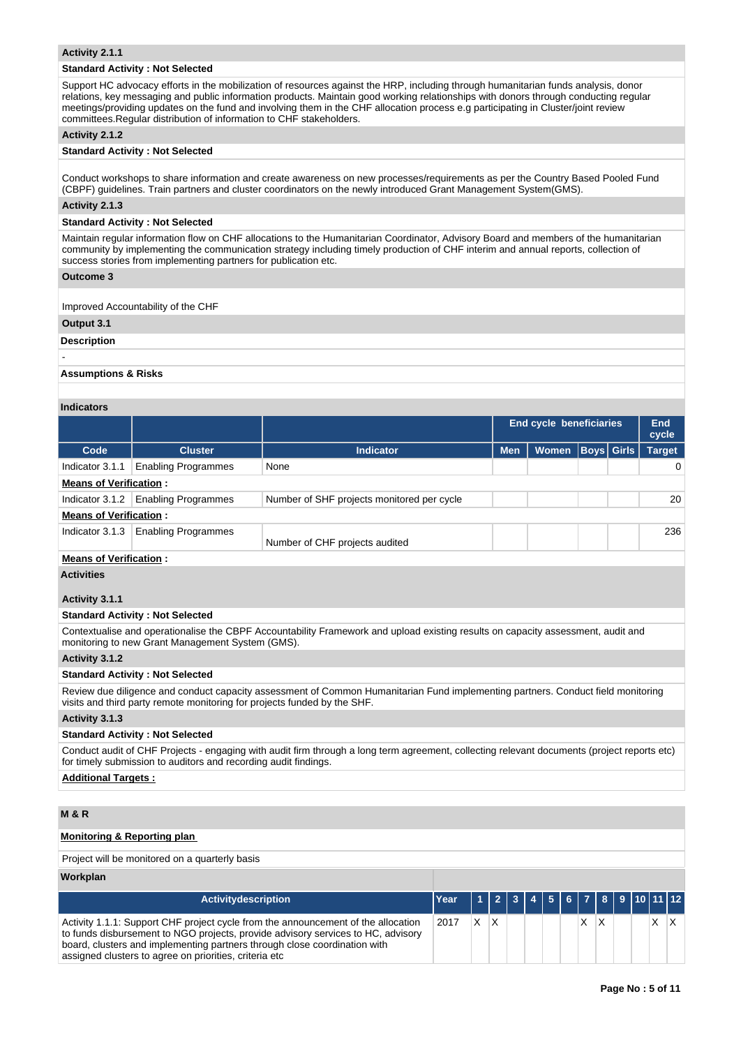#### **Activity 2.1.1**

#### **Standard Activity : Not Selected**

Support HC advocacy efforts in the mobilization of resources against the HRP, including through humanitarian funds analysis, donor relations, key messaging and public information products. Maintain good working relationships with donors through conducting regular meetings/providing updates on the fund and involving them in the CHF allocation process e.g participating in Cluster/joint review committees.Regular distribution of information to CHF stakeholders.

#### **Activity 2.1.2**

#### **Standard Activity : Not Selected**

Conduct workshops to share information and create awareness on new processes/requirements as per the Country Based Pooled Fund (CBPF) guidelines. Train partners and cluster coordinators on the newly introduced Grant Management System(GMS).

#### **Activity 2.1.3**

#### **Standard Activity : Not Selected**

Maintain regular information flow on CHF allocations to the Humanitarian Coordinator, Advisory Board and members of the humanitarian community by implementing the communication strategy including timely production of CHF interim and annual reports, collection of success stories from implementing partners for publication etc.

#### **Outcome 3**

Improved Accountability of the CHF

# **Output 3.1**

**Description**

# -

**Assumptions & Risks**

#### **Indicators**

|                               |                               |                                            | <b>End cycle beneficiaries</b> |              |                   | End<br>cycle |               |  |  |
|-------------------------------|-------------------------------|--------------------------------------------|--------------------------------|--------------|-------------------|--------------|---------------|--|--|
| Code                          | <b>Cluster</b>                | <b>Indicator</b>                           | <b>Men</b>                     | <b>Women</b> | <b>Boys</b> Girls |              | <b>Target</b> |  |  |
| Indicator 3.1.1               | <b>Enabling Programmes</b>    | None                                       |                                |              |                   |              | 0             |  |  |
| <b>Means of Verification:</b> |                               |                                            |                                |              |                   |              |               |  |  |
| Indicator 3.1.2               | <b>Enabling Programmes</b>    | Number of SHF projects monitored per cycle |                                |              |                   |              | 20            |  |  |
| <b>Means of Verification:</b> |                               |                                            |                                |              |                   |              |               |  |  |
| Indicator 3.1.3               | <b>Enabling Programmes</b>    | Number of CHF projects audited             |                                |              |                   |              | 236           |  |  |
|                               | <b>Means of Verification:</b> |                                            |                                |              |                   |              |               |  |  |

## **Activities**

#### **Activity 3.1.1**

#### **Standard Activity : Not Selected**

Contextualise and operationalise the CBPF Accountability Framework and upload existing results on capacity assessment, audit and monitoring to new Grant Management System (GMS).

# **Activity 3.1.2**

#### **Standard Activity : Not Selected**

Review due diligence and conduct capacity assessment of Common Humanitarian Fund implementing partners. Conduct field monitoring visits and third party remote monitoring for projects funded by the SHF.

#### **Activity 3.1.3**

#### **Standard Activity : Not Selected**

Conduct audit of CHF Projects - engaging with audit firm through a long term agreement, collecting relevant documents (project reports etc) for timely submission to auditors and recording audit findings.

**Additional Targets :**

# **M & R**

# **Monitoring & Reporting plan**

Project will be monitored on a quarterly basis

#### **Workplan**

| <b>Activitydescription</b>                                                                                                                                                                                                                                                                                   | Year |    |                         | 1 2 3 4 5 6 7 8 9 10 11 12 |  |  |  |  |          |
|--------------------------------------------------------------------------------------------------------------------------------------------------------------------------------------------------------------------------------------------------------------------------------------------------------------|------|----|-------------------------|----------------------------|--|--|--|--|----------|
| Activity 1.1.1: Support CHF project cycle from the announcement of the allocation<br>to funds disbursement to NGO projects, provide advisory services to HC, advisory<br>board, clusters and implementing partners through close coordination with<br>assigned clusters to agree on priorities, criteria etc | 2017 | X. | $\mathsf{I} \mathsf{X}$ |                            |  |  |  |  | $\times$ |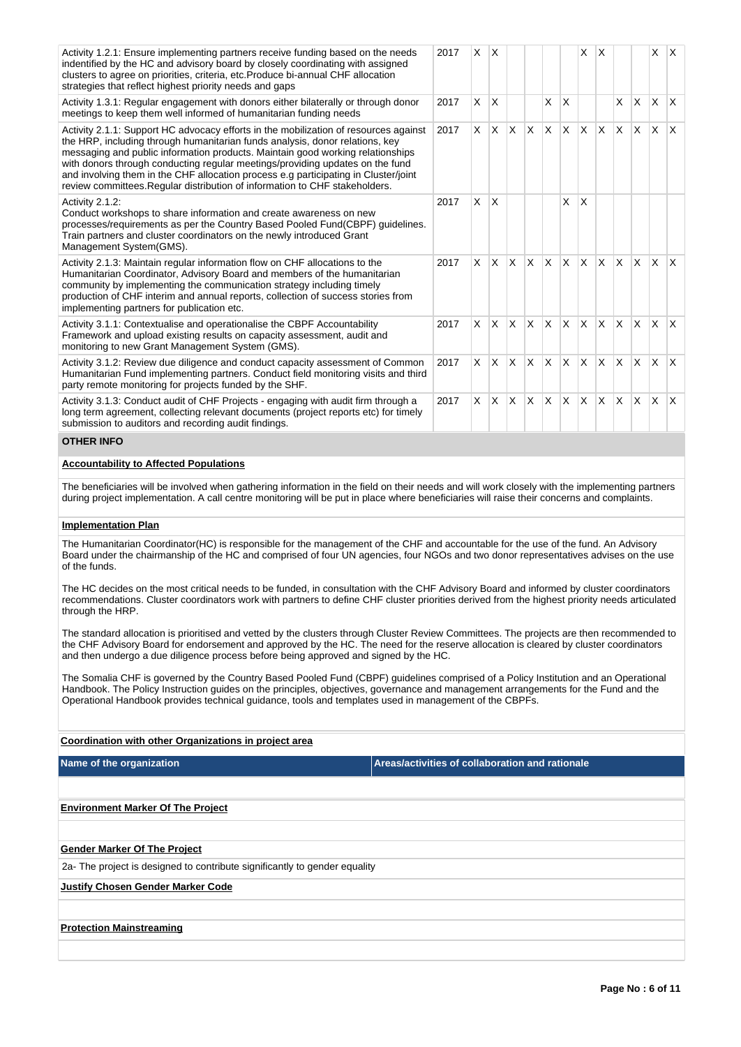| Activity 1.2.1: Ensure implementing partners receive funding based on the needs<br>indentified by the HC and advisory board by closely coordinating with assigned<br>clusters to agree on priorities, criteria, etc. Produce bi-annual CHF allocation<br>strategies that reflect highest priority needs and gaps                                                                                                                                                                                              | 2017 | <sup>X</sup> |          |              |              |          | X            | ΙX.          |              |          | $\times$     | $\mathsf{X}$ |              |
|---------------------------------------------------------------------------------------------------------------------------------------------------------------------------------------------------------------------------------------------------------------------------------------------------------------------------------------------------------------------------------------------------------------------------------------------------------------------------------------------------------------|------|--------------|----------|--------------|--------------|----------|--------------|--------------|--------------|----------|--------------|--------------|--------------|
| Activity 1.3.1: Regular engagement with donors either bilaterally or through donor<br>meetings to keep them well informed of humanitarian funding needs                                                                                                                                                                                                                                                                                                                                                       | 2017 | X            | X        |              |              | X        | $\times$     |              |              | $\times$ | <b>X</b>     | <b>X</b>     | $\mathsf{X}$ |
| Activity 2.1.1: Support HC advocacy efforts in the mobilization of resources against<br>the HRP, including through humanitarian funds analysis, donor relations, key<br>messaging and public information products. Maintain good working relationships<br>with donors through conducting regular meetings/providing updates on the fund<br>and involving them in the CHF allocation process e.g participating in Cluster/joint<br>review committees. Regular distribution of information to CHF stakeholders. | 2017 | X.           | <b>X</b> | $\mathsf{X}$ | ΙX.          | <b>X</b> | ΙX.          | <b>X</b>     | ΙX.          | <b>X</b> | ΙX.          | $\mathsf{X}$ | $\mathsf{X}$ |
| Activity 2.1.2:<br>Conduct workshops to share information and create awareness on new<br>processes/requirements as per the Country Based Pooled Fund(CBPF) guidelines.<br>Train partners and cluster coordinators on the newly introduced Grant<br>Management System(GMS).                                                                                                                                                                                                                                    | 2017 | X.           | X        |              |              |          | X            | $\times$     |              |          |              |              |              |
| Activity 2.1.3: Maintain regular information flow on CHF allocations to the<br>Humanitarian Coordinator, Advisory Board and members of the humanitarian<br>community by implementing the communication strategy including timely<br>production of CHF interim and annual reports, collection of success stories from<br>implementing partners for publication etc.                                                                                                                                            | 2017 | $\times$     | <b>X</b> | $\mathsf{X}$ | $\mathsf{X}$ | <b>X</b> | $\mathsf{X}$ | $\mathsf{X}$ | $\mathsf{X}$ | <b>X</b> | ΙX.          | $\mathsf{X}$ | $\mathsf{X}$ |
| Activity 3.1.1: Contextualise and operationalise the CBPF Accountability<br>Framework and upload existing results on capacity assessment, audit and<br>monitoring to new Grant Management System (GMS).                                                                                                                                                                                                                                                                                                       | 2017 | X.           | <b>X</b> | $\mathsf{X}$ | $\mathsf{X}$ | <b>X</b> | X.           |              | $x \times$   | <b>X</b> | ΙX.          | $\mathsf{X}$ | $\mathsf{X}$ |
| Activity 3.1.2: Review due diligence and conduct capacity assessment of Common<br>Humanitarian Fund implementing partners. Conduct field monitoring visits and third<br>party remote monitoring for projects funded by the SHF.                                                                                                                                                                                                                                                                               | 2017 | X            | <b>X</b> | $\mathsf{X}$ | $\mathsf{X}$ | <b>X</b> | $\mathsf{x}$ | X            | lx.          | <b>X</b> | $\mathsf{X}$ | <b>X</b>     | $\mathsf{X}$ |
| Activity 3.1.3: Conduct audit of CHF Projects - engaging with audit firm through a<br>long term agreement, collecting relevant documents (project reports etc) for timely<br>submission to auditors and recording audit findings.                                                                                                                                                                                                                                                                             | 2017 | $\times$     | <b>X</b> | $\mathsf{X}$ | Ιx.          | <b>X</b> | ΙX.          | <b>X</b>     | <b>X</b>     | <b>X</b> | <b>X</b>     | <b>X</b>     | ΙX.          |
| <b>OTHED INFO.</b>                                                                                                                                                                                                                                                                                                                                                                                                                                                                                            |      |              |          |              |              |          |              |              |              |          |              |              |              |

#### **OTHER INFO**

# **Accountability to Affected Populations**

The beneficiaries will be involved when gathering information in the field on their needs and will work closely with the implementing partners during project implementation. A call centre monitoring will be put in place where beneficiaries will raise their concerns and complaints.

# **Implementation Plan**

The Humanitarian Coordinator(HC) is responsible for the management of the CHF and accountable for the use of the fund. An Advisory Board under the chairmanship of the HC and comprised of four UN agencies, four NGOs and two donor representatives advises on the use of the funds.

The HC decides on the most critical needs to be funded, in consultation with the CHF Advisory Board and informed by cluster coordinators recommendations. Cluster coordinators work with partners to define CHF cluster priorities derived from the highest priority needs articulated through the HRP.

The standard allocation is prioritised and vetted by the clusters through Cluster Review Committees. The projects are then recommended to the CHF Advisory Board for endorsement and approved by the HC. The need for the reserve allocation is cleared by cluster coordinators and then undergo a due diligence process before being approved and signed by the HC.

The Somalia CHF is governed by the Country Based Pooled Fund (CBPF) guidelines comprised of a Policy Institution and an Operational Handbook. The Policy Instruction guides on the principles, objectives, governance and management arrangements for the Fund and the Operational Handbook provides technical guidance, tools and templates used in management of the CBPFs.

# **Coordination with other Organizations in project area**

| Name of the organization |  |
|--------------------------|--|
|--------------------------|--|

**Areas/activities of collaboration and rationale** 

| <b>Environment Marker Of The Project</b>                                   |
|----------------------------------------------------------------------------|
|                                                                            |
| <b>Gender Marker Of The Project</b>                                        |
| 2a- The project is designed to contribute significantly to gender equality |
| <b>Justify Chosen Gender Marker Code</b>                                   |
|                                                                            |
| <b>Protection Mainstreaming</b>                                            |
|                                                                            |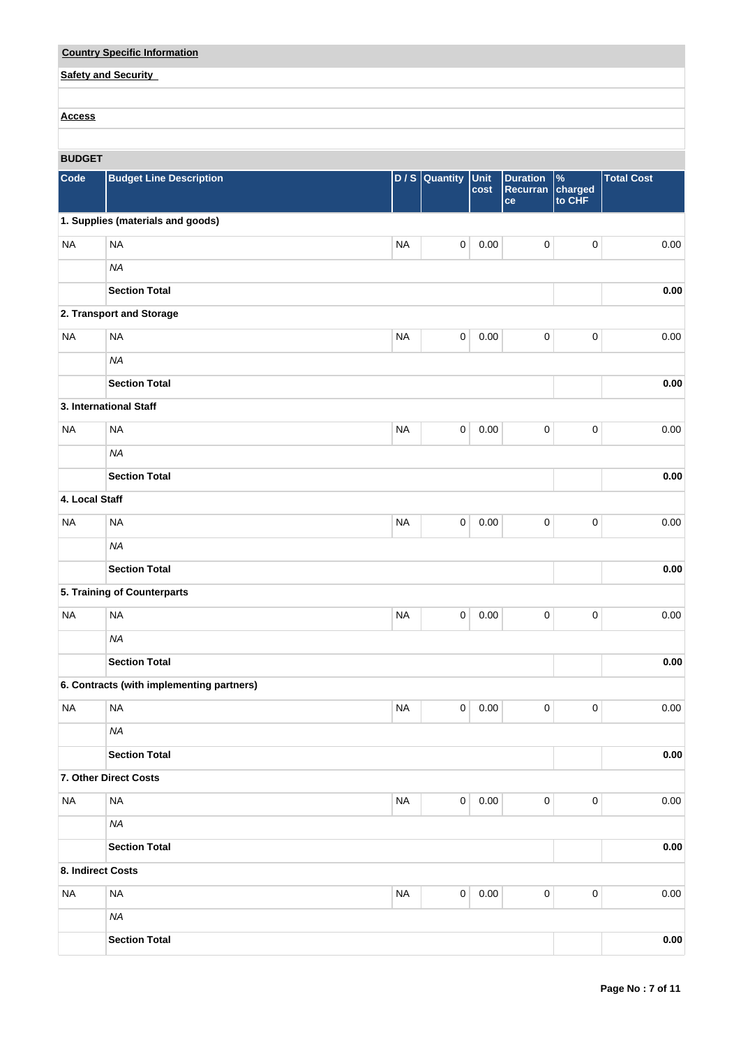| <b>Country Specific Information</b> |  |
|-------------------------------------|--|
| <b>Safety and Security</b>          |  |
|                                     |  |
| <b>Access</b>                       |  |

# **BUDGET**

| Code              | <b>Budget Line Description</b>            | D/S       | Quantity    | <b>Unit</b><br>cost | <b>Duration</b><br>Recurran<br>ce | %<br>charged<br>to CHF | <b>Total Cost</b> |
|-------------------|-------------------------------------------|-----------|-------------|---------------------|-----------------------------------|------------------------|-------------------|
|                   | 1. Supplies (materials and goods)         |           |             |                     |                                   |                        |                   |
| <b>NA</b>         | <b>NA</b>                                 | <b>NA</b> | 0           | 0.00                | 0                                 | $\pmb{0}$              | 0.00              |
|                   | <b>NA</b>                                 |           |             |                     |                                   |                        |                   |
|                   | <b>Section Total</b>                      |           |             |                     |                                   |                        | 0.00              |
|                   | 2. Transport and Storage                  |           |             |                     |                                   |                        |                   |
| <b>NA</b>         | <b>NA</b>                                 | <b>NA</b> | $\pmb{0}$   | 0.00                | $\pmb{0}$                         | 0                      | 0.00              |
|                   | <b>NA</b>                                 |           |             |                     |                                   |                        |                   |
|                   | <b>Section Total</b>                      |           |             |                     |                                   |                        | $0.00\,$          |
|                   | 3. International Staff                    |           |             |                     |                                   |                        |                   |
| <b>NA</b>         | <b>NA</b>                                 | <b>NA</b> | 0           | 0.00                | 0                                 | $\pmb{0}$              | 0.00              |
|                   | <b>NA</b>                                 |           |             |                     |                                   |                        |                   |
|                   | <b>Section Total</b>                      |           |             |                     |                                   |                        | $0.00\,$          |
| 4. Local Staff    |                                           |           |             |                     |                                   |                        |                   |
| <b>NA</b>         | <b>NA</b>                                 | <b>NA</b> | 0           | 0.00                | 0                                 | 0                      | 0.00              |
|                   | <b>NA</b>                                 |           |             |                     |                                   |                        |                   |
|                   | <b>Section Total</b>                      |           |             |                     |                                   |                        | 0.00              |
|                   | 5. Training of Counterparts               |           |             |                     |                                   |                        |                   |
| <b>NA</b>         | <b>NA</b>                                 | <b>NA</b> | 0           | 0.00                | 0                                 | $\pmb{0}$              | 0.00              |
|                   | <b>NA</b>                                 |           |             |                     |                                   |                        |                   |
|                   | <b>Section Total</b>                      |           |             |                     |                                   |                        | 0.00              |
|                   | 6. Contracts (with implementing partners) |           |             |                     |                                   |                        |                   |
| <b>NA</b>         | <b>NA</b>                                 | <b>NA</b> | 0           | 0.00                | 0                                 | 0                      | 0.00              |
|                   | NA                                        |           |             |                     |                                   |                        |                   |
|                   | <b>Section Total</b>                      |           |             |                     |                                   |                        | 0.00              |
|                   | 7. Other Direct Costs                     |           |             |                     |                                   |                        |                   |
| <b>NA</b>         | <b>NA</b>                                 | <b>NA</b> | 0           | 0.00                | $\pmb{0}$                         | $\pmb{0}$              | 0.00              |
|                   | <b>NA</b>                                 |           |             |                     |                                   |                        |                   |
|                   | <b>Section Total</b>                      |           |             |                     |                                   |                        | $0.00\,$          |
| 8. Indirect Costs |                                           |           |             |                     |                                   |                        |                   |
| <b>NA</b>         | <b>NA</b>                                 | $\sf NA$  | $\mathbf 0$ | 0.00                | $\mathbf 0$                       | $\pmb{0}$              | 0.00              |
|                   | <b>NA</b>                                 |           |             |                     |                                   |                        |                   |
|                   | <b>Section Total</b>                      |           |             |                     |                                   |                        | 0.00              |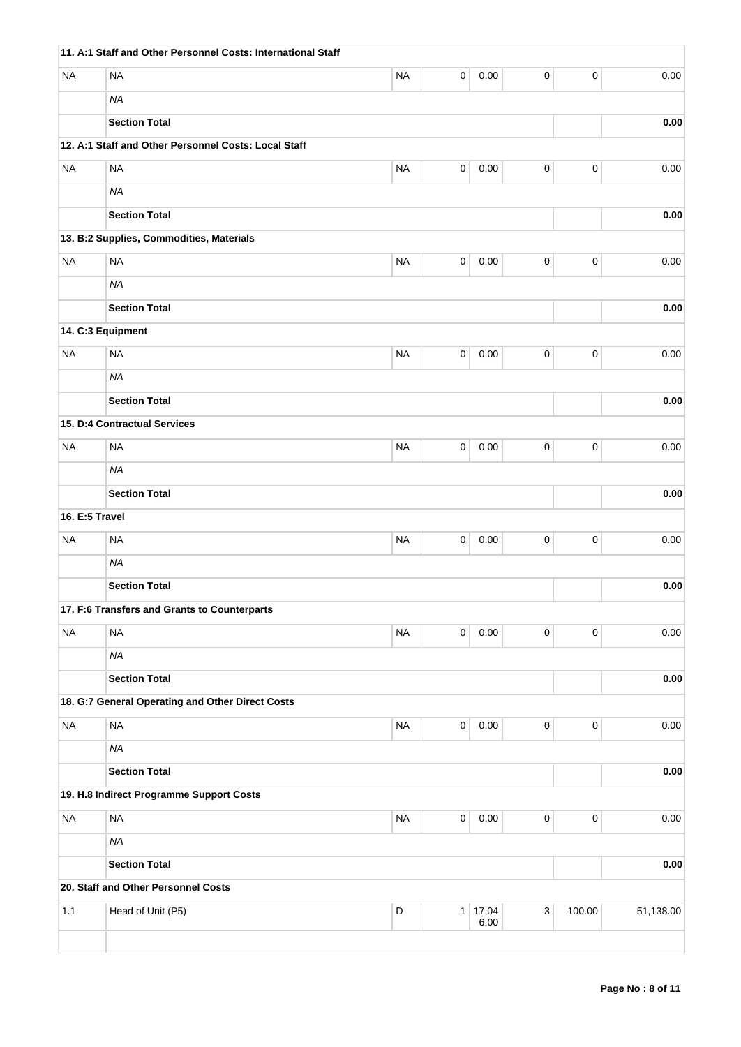|                   | 11. A:1 Staff and Other Personnel Costs: International Staff |             |                     |          |                           |             |           |
|-------------------|--------------------------------------------------------------|-------------|---------------------|----------|---------------------------|-------------|-----------|
| <b>NA</b>         | <b>NA</b>                                                    | <b>NA</b>   | 0                   | 0.00     | $\pmb{0}$                 | $\pmb{0}$   | 0.00      |
|                   | <b>NA</b>                                                    |             |                     |          |                           |             |           |
|                   | <b>Section Total</b>                                         |             |                     |          |                           |             | 0.00      |
|                   | 12. A:1 Staff and Other Personnel Costs: Local Staff         |             |                     |          |                           |             |           |
| <b>NA</b>         | <b>NA</b>                                                    | <b>NA</b>   | $\mathsf 0$         | 0.00     | $\pmb{0}$                 | $\mathbf 0$ | 0.00      |
|                   | <b>NA</b>                                                    |             |                     |          |                           |             |           |
|                   | <b>Section Total</b>                                         |             |                     |          |                           |             | 0.00      |
|                   | 13. B:2 Supplies, Commodities, Materials                     |             |                     |          |                           |             |           |
| <b>NA</b>         | <b>NA</b>                                                    | <b>NA</b>   | 0                   | 0.00     | $\pmb{0}$                 | $\pmb{0}$   | 0.00      |
|                   | <b>NA</b>                                                    |             |                     |          |                           |             |           |
|                   | <b>Section Total</b>                                         |             |                     |          |                           |             | 0.00      |
| 14. C:3 Equipment |                                                              |             |                     |          |                           |             |           |
| <b>NA</b>         | <b>NA</b>                                                    | <b>NA</b>   | 0                   | 0.00     | 0                         | $\pmb{0}$   | 0.00      |
|                   | <b>NA</b>                                                    |             |                     |          |                           |             |           |
|                   | <b>Section Total</b>                                         |             |                     |          |                           |             | 0.00      |
|                   | 15. D:4 Contractual Services                                 |             |                     |          |                           |             |           |
| <b>NA</b>         | <b>NA</b>                                                    | <b>NA</b>   | 0                   | 0.00     | $\pmb{0}$                 | $\pmb{0}$   | 0.00      |
|                   | <b>NA</b>                                                    |             |                     |          |                           |             |           |
|                   | <b>Section Total</b>                                         |             |                     |          |                           |             | 0.00      |
| 16. E:5 Travel    |                                                              |             |                     |          |                           |             |           |
| <b>NA</b>         | <b>NA</b>                                                    | <b>NA</b>   | 0                   | 0.00     | 0                         | $\pmb{0}$   | 0.00      |
|                   | <b>NA</b>                                                    |             |                     |          |                           |             |           |
|                   | <b>Section Total</b>                                         |             |                     |          |                           |             | 0.00      |
|                   | 17. F:6 Transfers and Grants to Counterparts                 |             |                     |          |                           |             |           |
| <b>NA</b>         | <b>NA</b>                                                    | <b>NA</b>   | $\pmb{0}$           | 0.00     | $\pmb{0}$                 | $\mathbf 0$ | 0.00      |
|                   | <b>NA</b>                                                    |             |                     |          |                           |             |           |
|                   | <b>Section Total</b>                                         |             |                     |          |                           |             | 0.00      |
|                   | 18. G:7 General Operating and Other Direct Costs             |             |                     |          |                           |             |           |
| <b>NA</b>         | <b>NA</b>                                                    | <b>NA</b>   | $\pmb{0}$           | 0.00     | $\pmb{0}$                 | $\pmb{0}$   | 0.00      |
|                   | <b>NA</b>                                                    |             |                     |          |                           |             |           |
|                   | <b>Section Total</b>                                         |             |                     |          |                           |             | 0.00      |
|                   | 19. H.8 Indirect Programme Support Costs                     |             |                     |          |                           |             |           |
| <b>NA</b>         | <b>NA</b>                                                    | <b>NA</b>   | $\mathsf{O}\xspace$ | $0.00\,$ | $\mathsf 0$               | $\mathbf 0$ | 0.00      |
|                   | <b>NA</b>                                                    |             |                     |          |                           |             |           |
|                   | <b>Section Total</b>                                         |             |                     |          |                           |             | 0.00      |
|                   | 20. Staff and Other Personnel Costs                          |             |                     |          |                           |             |           |
| 1.1               | Head of Unit (P5)                                            | $\mathsf D$ |                     | 1 17,04  | $\ensuremath{\mathsf{3}}$ | 100.00      | 51,138.00 |
|                   |                                                              |             |                     | 6.00     |                           |             |           |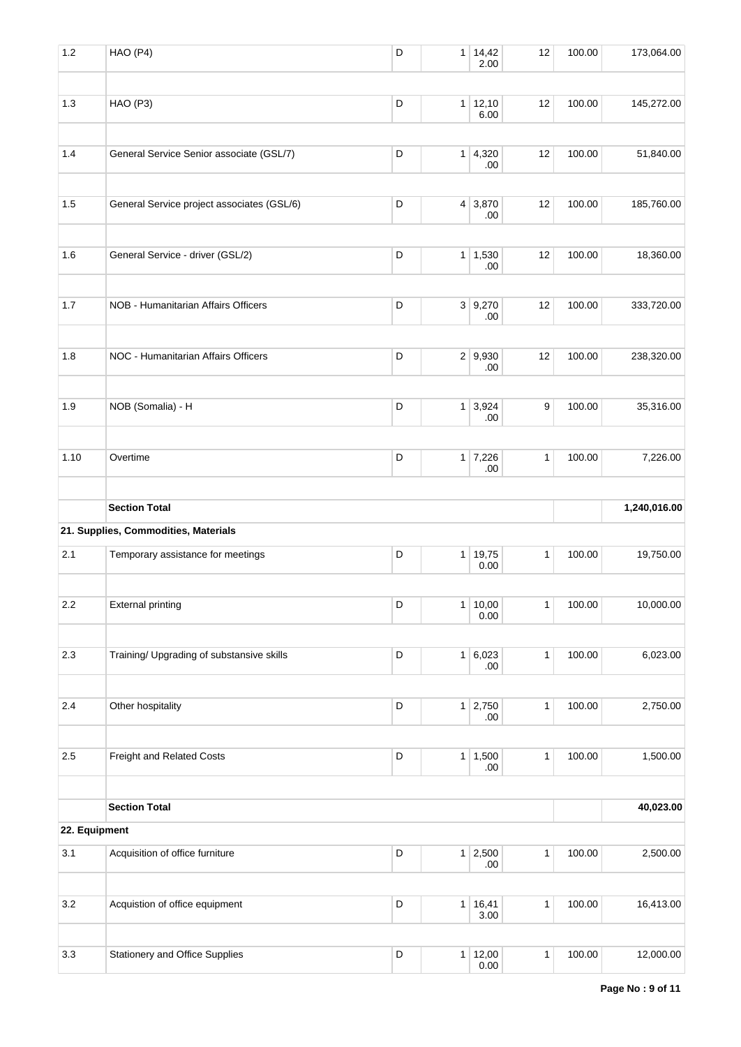| 1.2           | HAO (P4)                                   | D           | $\mathbf{1}$   | 14,42<br>2.00          | 12           | 100.00 | 173,064.00   |
|---------------|--------------------------------------------|-------------|----------------|------------------------|--------------|--------|--------------|
| 1.3           | HAO (P3)                                   | D           |                | $1 \mid 12,10$<br>6.00 | 12           | 100.00 | 145,272.00   |
| 1.4           | General Service Senior associate (GSL/7)   | D           | 1              | 4,320<br>.00           | 12           | 100.00 | 51,840.00    |
| 1.5           | General Service project associates (GSL/6) | D           | 4 <sup>1</sup> | 3,870<br>.00           | 12           | 100.00 | 185,760.00   |
| 1.6           | General Service - driver (GSL/2)           | D           | 1              | 1,530<br>.00           | 12           | 100.00 | 18,360.00    |
| 1.7           | NOB - Humanitarian Affairs Officers        | D           |                | 3   9,270<br>.00       | 12           | 100.00 | 333,720.00   |
| 1.8           | NOC - Humanitarian Affairs Officers        | D           |                | 2 9,930<br>.00         | 12           | 100.00 | 238,320.00   |
| 1.9           | NOB (Somalia) - H                          | D           | 1              | 3,924<br>.00           | 9            | 100.00 | 35,316.00    |
| 1.10          | Overtime                                   | D           |                | $1 \mid 7,226$<br>.00  | $\mathbf{1}$ | 100.00 | 7,226.00     |
|               | <b>Section Total</b>                       |             |                |                        |              |        | 1,240,016.00 |
|               | 21. Supplies, Commodities, Materials       |             |                |                        |              |        |              |
| 2.1           | Temporary assistance for meetings          | D           | 1              | 19,75<br>0.00          | 1            | 100.00 | 19,750.00    |
| 2.2           | <b>External printing</b>                   | D           |                | 1 10,00<br>0.00        | $\mathbf{1}$ | 100.00 | 10,000.00    |
| $2.3\,$       | Training/ Upgrading of substansive skills  | D           |                | 1 6,023<br>.00.        | $\mathbf{1}$ | 100.00 | 6,023.00     |
| 2.4           | Other hospitality                          | $\mathsf D$ | 1              | 2,750<br>.00           | $\mathbf{1}$ | 100.00 | 2,750.00     |
| 2.5           | Freight and Related Costs                  | D           |                | $1 \mid 1,500$<br>.00. | $\mathbf{1}$ | 100.00 | 1,500.00     |
|               | <b>Section Total</b>                       |             |                |                        |              |        | 40,023.00    |
| 22. Equipment |                                            |             |                |                        |              |        |              |
| 3.1           | Acquisition of office furniture            | D           | 1              | 2,500<br>.00           | $\mathbf{1}$ | 100.00 | 2,500.00     |
| 3.2           | Acquistion of office equipment             | D           | $\mathbf{1}$   | 16,41<br>3.00          | $\mathbf{1}$ | 100.00 | 16,413.00    |
| 3.3           | Stationery and Office Supplies             | D           |                | 1   12,00<br>0.00      | $\mathbf{1}$ | 100.00 | 12,000.00    |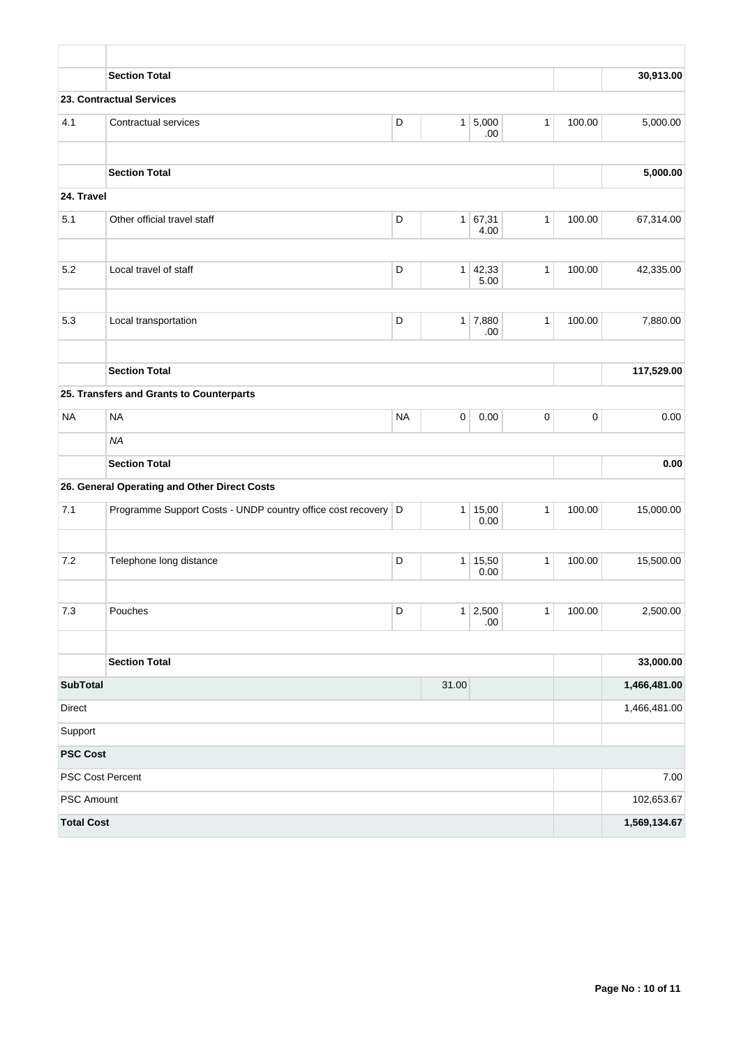|                   | <b>Section Total</b>                                          |           |                |                        |              |             | 30,913.00    |
|-------------------|---------------------------------------------------------------|-----------|----------------|------------------------|--------------|-------------|--------------|
|                   | 23. Contractual Services                                      |           |                |                        |              |             |              |
| 4.1               | Contractual services                                          | D         |                | 1 5,000<br>.00.        | $\mathbf{1}$ | 100.00      | 5,000.00     |
|                   | <b>Section Total</b>                                          |           |                |                        |              |             | 5,000.00     |
| 24. Travel        |                                                               |           |                |                        |              |             |              |
| 5.1               | Other official travel staff                                   | D         |                | 1 67,31<br>4.00        | $\mathbf{1}$ | 100.00      | 67,314.00    |
| 5.2               | Local travel of staff                                         | D         |                | $1 \mid 42,33$<br>5.00 | $\mathbf{1}$ | 100.00      | 42,335.00    |
| 5.3               | Local transportation                                          | D         |                | $1 \mid 7,880$<br>.00  | $\mathbf{1}$ | 100.00      | 7,880.00     |
|                   | <b>Section Total</b>                                          |           |                |                        |              |             | 117,529.00   |
|                   | 25. Transfers and Grants to Counterparts                      |           |                |                        |              |             |              |
| <b>NA</b>         | <b>NA</b>                                                     | <b>NA</b> | 0              | 0.00                   | 0            | $\mathbf 0$ | 0.00         |
|                   | <b>NA</b>                                                     |           |                |                        |              |             |              |
|                   | <b>Section Total</b>                                          |           |                |                        |              |             | 0.00         |
|                   | 26. General Operating and Other Direct Costs                  |           |                |                        |              |             |              |
| 7.1               | Programme Support Costs - UNDP country office cost recovery D |           |                | 1   15,00<br>0.00      | $\mathbf{1}$ | 100.00      | 15,000.00    |
| 7.2               | Telephone long distance                                       | D         | 1 <sup>1</sup> | 15,50<br>0.00          | $\mathbf{1}$ | 100.00      | 15,500.00    |
| $7.3\,$           | Pouches                                                       | D         |                | $1 \mid 2,500$         | $\mathbf{1}$ | 100.00      | 2,500.00     |
|                   |                                                               |           |                | .00.                   |              |             |              |
|                   | <b>Section Total</b>                                          |           |                |                        |              |             | 33,000.00    |
| <b>SubTotal</b>   |                                                               |           | 31.00          |                        |              |             | 1,466,481.00 |
| Direct            |                                                               |           |                |                        |              |             | 1,466,481.00 |
| Support           |                                                               |           |                |                        |              |             |              |
| <b>PSC Cost</b>   |                                                               |           |                |                        |              |             |              |
|                   | PSC Cost Percent                                              |           |                |                        |              |             | 7.00         |
| PSC Amount        |                                                               |           |                |                        |              |             | 102,653.67   |
| <b>Total Cost</b> |                                                               |           |                |                        |              |             | 1,569,134.67 |